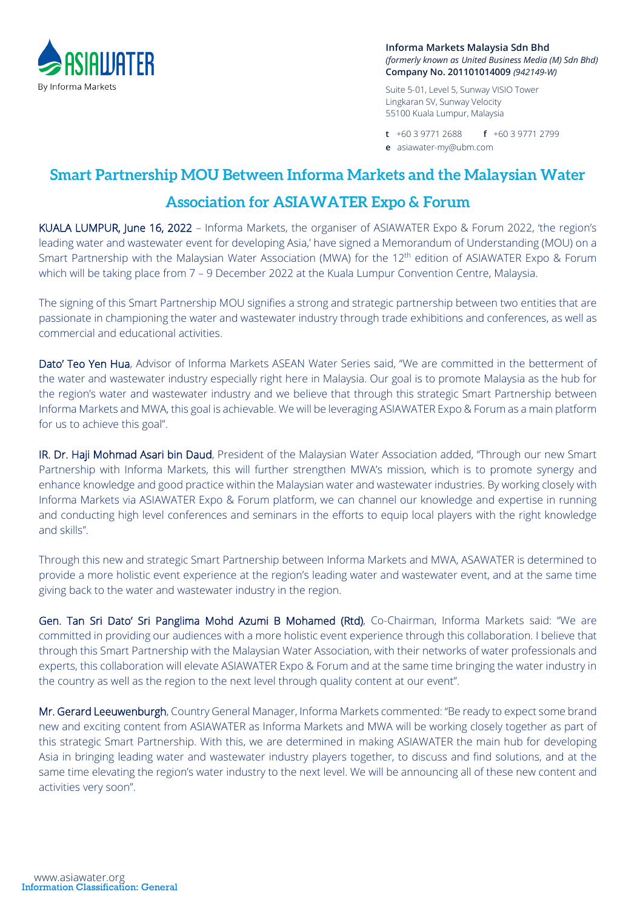

**Informa Markets Malaysia Sdn Bhd** *(formerly known as United Business Media (M) Sdn Bhd)* **Company No. 201101014009** *(942149-W)*

Suite 5-01, Level 5, Sunway VISIO Tower Lingkaran SV, Sunway Velocity 55100 Kuala Lumpur, Malaysia

**t** +60 3 9771 2688 **f** +60 3 9771 2799 **e** asiawater-my@ubm.com

## **Smart Partnership MOU Between Informa Markets and the Malaysian Water**

# **Association for ASIAWATER Expo & Forum**

KUALA LUMPUR, June 16, 2022 – Informa Markets, the organiser of ASIAWATER Expo & Forum 2022, 'the region's leading water and wastewater event for developing Asia,' have signed a Memorandum of Understanding (MOU) on a Smart Partnership with the Malaysian Water Association (MWA) for the 12<sup>th</sup> edition of ASIAWATER Expo & Forum which will be taking place from 7 - 9 December 2022 at the Kuala Lumpur Convention Centre, Malaysia.

The signing of this Smart Partnership MOU signifies a strong and strategic partnership between two entities that are passionate in championing the water and wastewater industry through trade exhibitions and conferences, as well as commercial and educational activities.

Dato' Teo Yen Hua, Advisor of Informa Markets ASEAN Water Series said, "We are committed in the betterment of the water and wastewater industry especially right here in Malaysia. Our goal is to promote Malaysia as the hub for the region's water and wastewater industry and we believe that through this strategic Smart Partnership between Informa Markets and MWA, this goal is achievable. We will be leveraging ASIAWATER Expo & Forum as a main platform for us to achieve this goal".

IR. Dr. Haji Mohmad Asari bin Daud, President of the Malaysian Water Association added, "Through our new Smart Partnership with Informa Markets, this will further strengthen MWA's mission, which is to promote synergy and enhance knowledge and good practice within the Malaysian water and wastewater industries. By working closely with Informa Markets via ASIAWATER Expo & Forum platform, we can channel our knowledge and expertise in running and conducting high level conferences and seminars in the efforts to equip local players with the right knowledge and skills".

Through this new and strategic Smart Partnership between Informa Markets and MWA, ASAWATER is determined to provide a more holistic event experience at the region's leading water and wastewater event, and at the same time giving back to the water and wastewater industry in the region.

Gen. Tan Sri Dato' Sri Panglima Mohd Azumi B Mohamed (Rtd), Co-Chairman, Informa Markets said: "We are committed in providing our audiences with a more holistic event experience through this collaboration. I believe that through this Smart Partnership with the Malaysian Water Association, with their networks of water professionals and experts, this collaboration will elevate ASIAWATER Expo & Forum and at the same time bringing the water industry in the country as well as the region to the next level through quality content at our event".

Mr. Gerard Leeuwenburgh, Country General Manager, Informa Markets commented: "Be ready to expect some brand new and exciting content from ASIAWATER as Informa Markets and MWA will be working closely together as part of this strategic Smart Partnership. With this, we are determined in making ASIAWATER the main hub for developing Asia in bringing leading water and wastewater industry players together, to discuss and find solutions, and at the same time elevating the region's water industry to the next level. We will be announcing all of these new content and activities very soon".